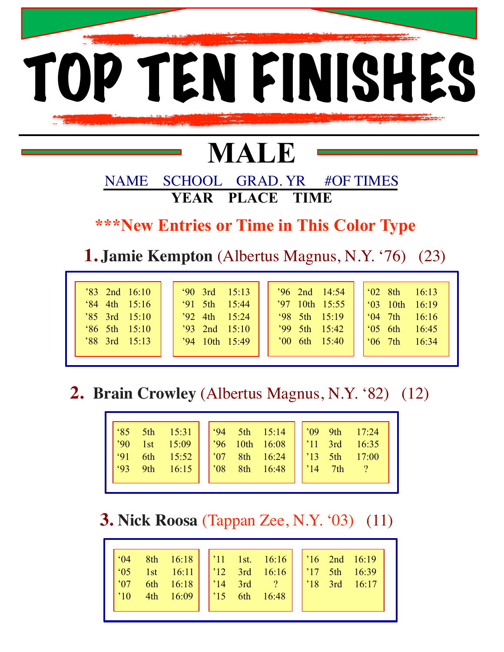

# **MALE**

NAME SCHOOL GRAD. YR #OF TIMES **YEAR PLACE TIME** 

 **\*\*\*New Entries or Time in This Color Type**

 **1. Jamie Kempton** (Albertus Magnus, N.Y. '76) (23)

| $90 \quad 3rd \quad 15:13$<br>$'83$ 2nd $16:10$<br>$91 \quad 5th \quad 15:44$<br>$\frac{64}{84}$ 4th 15:16<br>$'92$ 4th $15:24$<br>$'85$ 3rd $15:10$<br>$^{\circ}86$ 5th 15:10<br>$'93$ 2nd $15:10$<br>$'94$ 10th 15:49<br>$'88$ 3rd $15:13$ | $'96$ 2nd $14:54$<br>$^{\circ}02$ 8th<br>16:13<br>$'97$ 10th 15:55<br>$^{\circ}$ 03<br>10th<br>16:19<br>$98$ 5th $15:19$<br>16:16<br>$64 \text{ } 7th$<br>$'99 \text{ 5th} \text{ 15:42}$<br>$\degree$ 05 6th<br>16:45<br>$'00$ 6th $15:40$<br>16:34<br>$66 \text{ } 7th$ |
|----------------------------------------------------------------------------------------------------------------------------------------------------------------------------------------------------------------------------------------------|---------------------------------------------------------------------------------------------------------------------------------------------------------------------------------------------------------------------------------------------------------------------------|
|----------------------------------------------------------------------------------------------------------------------------------------------------------------------------------------------------------------------------------------------|---------------------------------------------------------------------------------------------------------------------------------------------------------------------------------------------------------------------------------------------------------------------------|

## **2. Brain Crowley** (Albertus Magnus, N.Y. '82) (12)

## **3. Nick Roosa** (Tappan Zee, N.Y. '03) (11)

|--|--|--|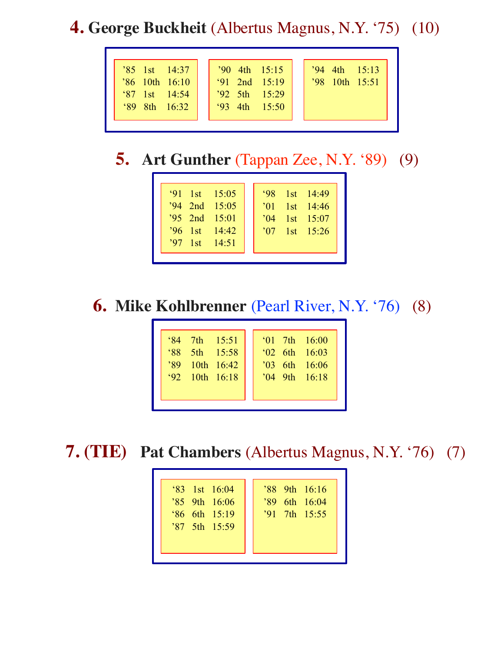## **4. George Buckheit** (Albertus Magnus, N.Y. '75) (10)

| $'90$ 4th $15:15$<br>$^{\prime}86$ 10th 16:10<br>$91$ 2nd $15:19$<br>$392$ 5th $15:29$<br>$\begin{array}{ c c c c c } \hline \text{`87} & \text{1st} & \text{14:54} \hline \end{array}$<br>$93 \text{ 4th} \quad 15:50$<br>$\frac{6}{89}$ 8th 16.32 | $'94$ 4th $15:13$<br>$'98$ 10th 15:51 |
|-----------------------------------------------------------------------------------------------------------------------------------------------------------------------------------------------------------------------------------------------------|---------------------------------------|
|-----------------------------------------------------------------------------------------------------------------------------------------------------------------------------------------------------------------------------------------------------|---------------------------------------|

# **5. Art Gunther** (Tappan Zee, N.Y. '89) (9)

## **6. Mike Kohlbrenner** (Pearl River, N.Y. '76) (8)

| $^{\circ}84$ 7th 15:51<br>$88^\circ$<br>$-5th$ 15:58<br>$'89$ 10th 16:42<br>$\frac{92}{10}$ 10th 16:18 | $^{\circ}$ 01 7th 16:00<br>$\frac{62}{16.03}$ 6th 16:03<br>16:06<br>$^{\prime}$ 04 9th 16:18 |
|--------------------------------------------------------------------------------------------------------|----------------------------------------------------------------------------------------------|
|--------------------------------------------------------------------------------------------------------|----------------------------------------------------------------------------------------------|

 **7. (TIE) Pat Chambers** (Albertus Magnus, N.Y. '76) (7)

| $\frac{1}{83}$ 1st 16:04<br>$35$ 9th 16:06<br>$86$ 6th $15:19$<br>'87 5th 15:59 | $'88$ 9th 16:16<br>'89 6th 16:04<br>$'91$ 7th $15:55$ |
|---------------------------------------------------------------------------------|-------------------------------------------------------|
|---------------------------------------------------------------------------------|-------------------------------------------------------|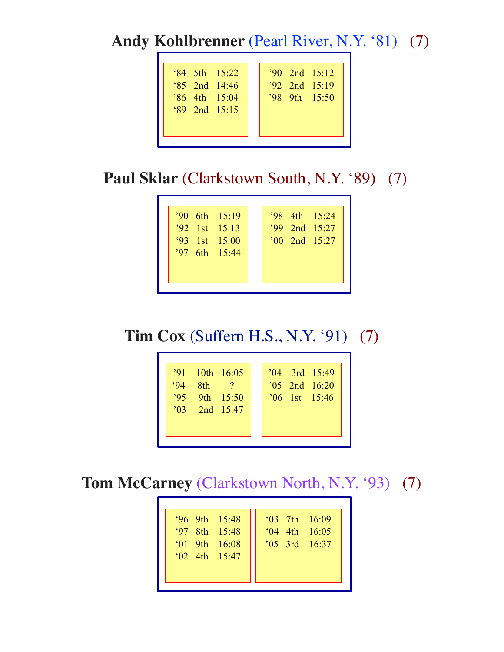**Andy Kohlbrenner** (Pearl River, N.Y. '81) (7)

| $84$ 5th $15:22$            |  |  | $'90$ 2nd $15:12$ |
|-----------------------------|--|--|-------------------|
| $85$ 2nd $14:46$            |  |  | $'92$ 2nd $15:19$ |
| $\frac{6}{15.04}$ 4th 15:04 |  |  | '989th15:50       |
| $89$ 2nd $15:15$            |  |  |                   |
|                             |  |  |                   |
|                             |  |  |                   |

Paul Sklar (Clarkstown South, N.Y. '89) (7)

| $'90$ 6th $15:19$<br>$'92$ 1st 15:13<br>$93 \quad 1st \quad 15:00$<br>$397$ 6th $15:44$ |  |  |  | '98 4th 15:24<br>'99 2nd 15:27<br>$'00$ 2nd $15:27$ |
|-----------------------------------------------------------------------------------------|--|--|--|-----------------------------------------------------|
|-----------------------------------------------------------------------------------------|--|--|--|-----------------------------------------------------|

**Tim Cox** (Suffern H.S., N.Y. '91) (7)

| $'91$ 10th 16:05<br>8th<br>94<br>$'95$ 9th $15:50$<br>$\frac{103}{2}$ 2nd 15:47 | 15:49<br>$^{\circ}$ 05 2nd 16:20<br>$16 \quad 1st \quad 15:46$ |
|---------------------------------------------------------------------------------|----------------------------------------------------------------|
|---------------------------------------------------------------------------------|----------------------------------------------------------------|

**Tom McCarney** (Clarkstown North, N.Y. '93) (7)

| $96 \text{ 9th} \quad 15:48$<br>$97$ 8th $15:48$<br>$\frac{61}{16}$ 9th 16:08<br>$\int 02$ 4th 15:47 | $^{\circ}$ 03 7th 16:09<br>$^{6}$ (04 4th 16:05<br>$^{\prime}$ 05 3rd 16:37 |
|------------------------------------------------------------------------------------------------------|-----------------------------------------------------------------------------|
|------------------------------------------------------------------------------------------------------|-----------------------------------------------------------------------------|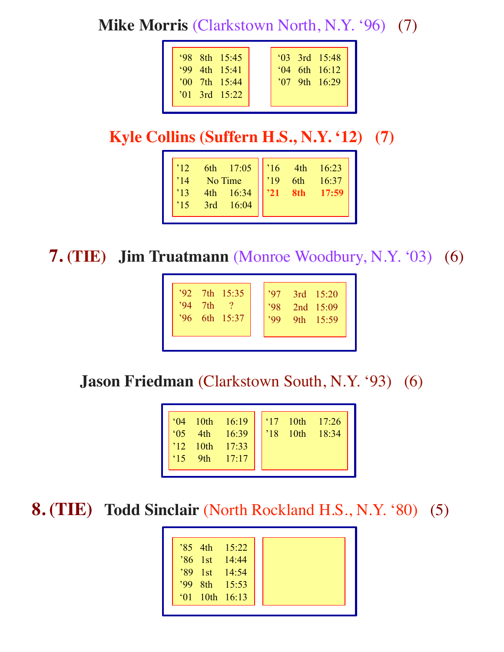**Mike Morris** (Clarkstown North, N.Y. '96) (7)

| '98 8th 15:45<br>$99$ 4th $15:41$<br>$'00$ 7th $15:44$<br>$^{\prime}$ 01 3rd 15:22 |
|------------------------------------------------------------------------------------|
|------------------------------------------------------------------------------------|

## **Kyle Collins (Suffern H.S., N.Y. '12) (7)**

| 12 <br>$\overline{14}$ | 6th 17:05<br>No Time<br>4th 16:34<br>16:34<br>16:37<br>17:59 |  |  |
|------------------------|--------------------------------------------------------------|--|--|
| $\cdot$ 13             |                                                              |  |  |
| $^{15}$                | 3rd 16:04                                                    |  |  |
|                        |                                                              |  |  |

**7. (TIE) Jim Truatmann** (Monroe Woodbury, N.Y. '03) (6)

| $392$ 7th $15:35$<br>7th<br>6th 15:37 |  |  |  | 3rd 15:20<br>2nd 15:09<br>9th 15:59 |
|---------------------------------------|--|--|--|-------------------------------------|
|---------------------------------------|--|--|--|-------------------------------------|

**Jason Friedman** (Clarkstown South, N.Y. '93) (6)

| 10th<br>16:19<br>$^{\circ}$ 04<br>4th<br>16:39<br>$^{\circ}$ 0.5<br>$12$ 10th<br>17:33<br>9th<br>17:17<br>.15 | $\vert$ '17 10th<br>10th<br>$^{\prime}18$ | $\frac{17:26}{18:34}$ |
|---------------------------------------------------------------------------------------------------------------|-------------------------------------------|-----------------------|
|---------------------------------------------------------------------------------------------------------------|-------------------------------------------|-----------------------|

**8. (TIE) Todd Sinclair** (North Rockland H.S., N.Y. '80) (5)

|  | $35 \text{ 4th} \quad 15:22$ |
|--|------------------------------|
|  | $^{\prime}86$ 1st 14:44      |
|  | '89 1st 14:54                |
|  | '99 8th 15:53                |
|  | $^{\circ}$ 01 10th 16:13     |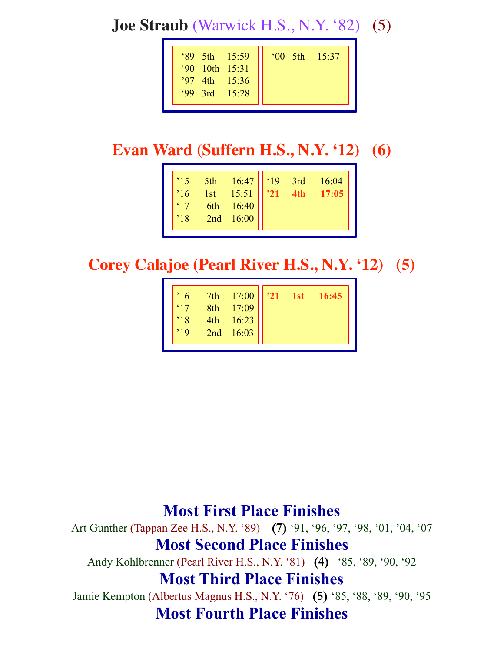**Joe Straub** (Warwick H.S., N.Y. '82) (5)

| $89$ 5th $15:59$<br>'90 10th 15:31<br><b>15:36</b><br>'99 3rd $15:28$ |
|-----------------------------------------------------------------------|
|-----------------------------------------------------------------------|

# **Evan Ward (Suffern H.S., N.Y. '12) (6)**

| $\begin{array}{ c c c c c }\n\hline\n5th & 16:47 & 19 & 3rd \\ 1st & 15:51 & 21 & 4th \\ \hline\n\end{array}$<br>15<br>$^{\prime}16$<br>$\frac{1}{17}$<br>6th 16:40<br>$\frac{1}{18}$<br>2nd 16:00 |  | $\frac{16:04}{17:05}$ |
|----------------------------------------------------------------------------------------------------------------------------------------------------------------------------------------------------|--|-----------------------|
|----------------------------------------------------------------------------------------------------------------------------------------------------------------------------------------------------|--|-----------------------|

**Corey Calajoe (Pearl River H.S., N.Y. '12) (5)**

| 7th 17:00<br>$^{\prime}16$<br>8th 17:09<br>4th 16:23<br>$^{\prime}18$<br>2nd 16:03 | $'21$ 1st 16:45 |
|------------------------------------------------------------------------------------|-----------------|
|------------------------------------------------------------------------------------|-----------------|

## **Most First Place Finishes**

Art Gunther (Tappan Zee H.S., N.Y. '89) **(7)** '91, '96, '97, '98, '01, '04, '07 **Most Second Place Finishes**

Andy Kohlbrenner (Pearl River H.S., N.Y. '81) **(4)** '85, '89, '90, '92

#### **Most Third Place Finishes**

Jamie Kempton (Albertus Magnus H.S., N.Y. '76) **(5)** '85, '88, '89, '90, '95 **Most Fourth Place Finishes**